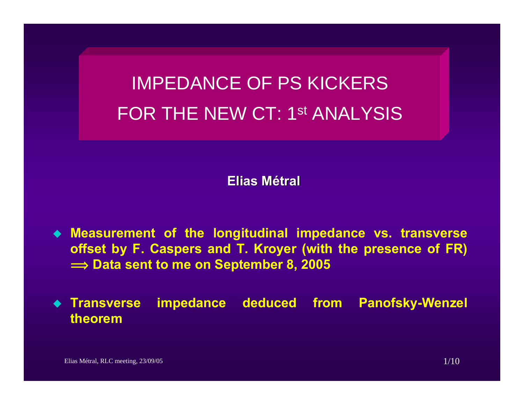# IMPEDANCE OF PS KICKERS FOR THE NEW CT: 1st ANALYSIS

**Elias Métral**

 **Measurement of the longitudinal impedance vs. transverse offset by F. Caspers and T. Kroyer (with the presence of FR)**   $\implies$  Data sent to me on September 8, 2005

**◆ Transverse Impedance deduced from Panofsky-Wenzel theorem**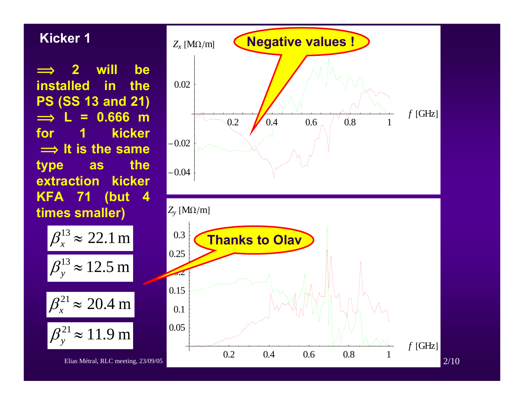$\implies$  **2 will be installed in the PS (SS 13 and 21) î L = 0.666 m for 1 kicker**  $\implies$  It is the same **type as the extraction** kicker **KFA 71 (but 4 times smaller)**

$$
\beta_x^{13} \approx 22.1 \text{ m}
$$
  

$$
\beta_y^{13} \approx 12.5 \text{ m}
$$
  

$$
\beta_x^{21} \approx 20.4 \text{ m}
$$
  

$$
\beta_y^{21} \approx 11.9 \text{ m}
$$

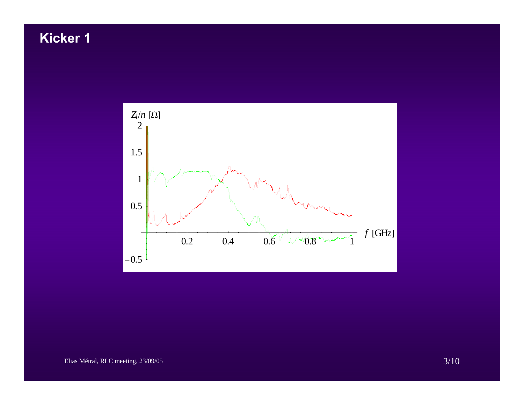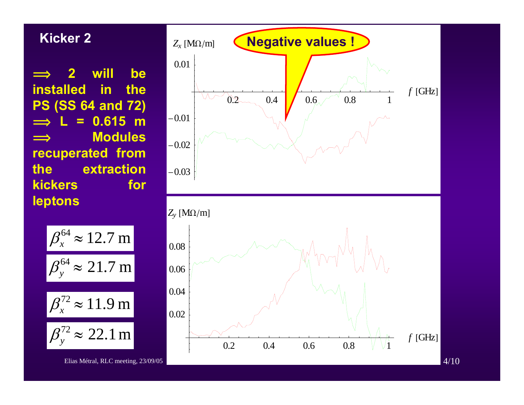$\implies$  **2 will be installed** in the **PS (SS 64 and 72)**  $\implies$  **L = 0.615 m**  $\implies$  **Modules recuperated from the extraction kickers** for **leptons**



Elias Métral, RLC meeting, 23/09/05 4/10

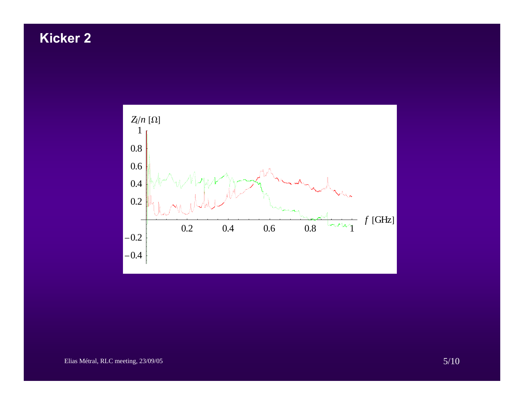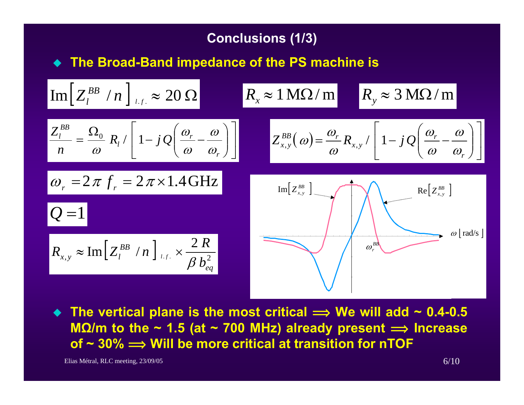## **Conclusions (1/3)**

◆ The Broad-Band impedance of the PS machine is

$$
\frac{\text{Im}\left[Z_{l}^{BB} / n\right]_{l.f.} \approx 20 \,\Omega}{n} \quad R_{x} \approx 1 \,\text{M}\Omega/m \quad R_{y} \approx 3 \,\text{M}\Omega/m
$$
\n
$$
\frac{Z_{l}^{BB}}{n} = \frac{\Omega_{0}}{\omega} R_{l} / \left[1 - j \,\Omega\left(\frac{\omega_{r}}{\omega} - \frac{\omega}{\omega_{r}}\right)\right]
$$
\n
$$
Z_{x,y}^{BB}(\omega) = \frac{\omega_{r}}{\omega} R_{x,y} / \left[1 - j \,\Omega\left(\frac{\omega_{r}}{\omega} - \frac{\omega}{\omega_{r}}\right)\right]
$$
\n
$$
\omega_{r} = 2 \,\pi \, f_{r} = 2 \,\pi \times 1.4 \,\text{GHz}
$$
\n
$$
\text{Im}\left[Z_{x,y}^{BB} \right]_{\text{Im}\left[Z_{x,y}^{BB}\right]} \quad \text{Im}\left[Z_{x,y}^{BB} \right]
$$
\n
$$
R_{x,y} \approx \text{Im}\left[Z_{l}^{BB} / n\right]_{l.f.} \times \frac{2 \,R}{\beta \, b_{eq}^{2}}
$$
\n
$$
\omega_{r} \quad \omega \text{[rad/s]}
$$

◆ The vertical plane is the most critical  $\implies$  We will add ~ 0.4-0.5 **MΩ/m to the ~ 1.5 (at ~ 700 MHz) already present <sup>î</sup> Increase of ~ 30% î Will be more critical at transition for nTOF**

Elias Métral, RLC meeting,  $23/09/05$  6/10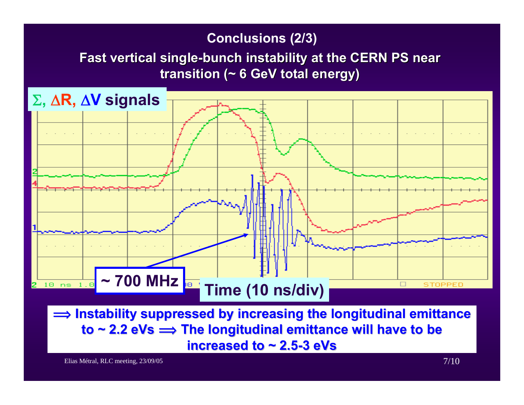### **Conclusions (2/3)**

# **Fast vertical single Fast vertical single-bunch instability at the CERN PS near bunch instability at the CERN PS near transition (~ 6 GeV total energy)**



Elias Métral, RLC meeting, 23/09/05 7/10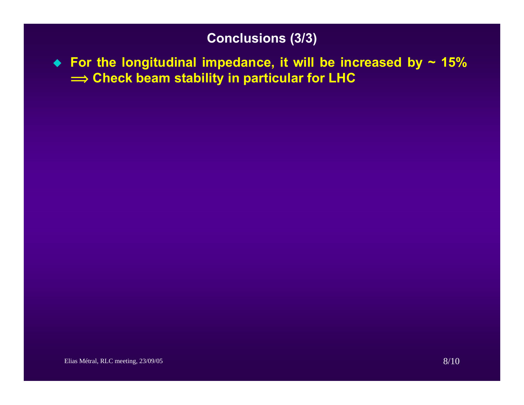# **Conclusions (3/3)**

 **For the longitudinal impedance, it will be increased by ~ 15%**   $\implies$  Check beam stability in particular for LHC  $\blacksquare$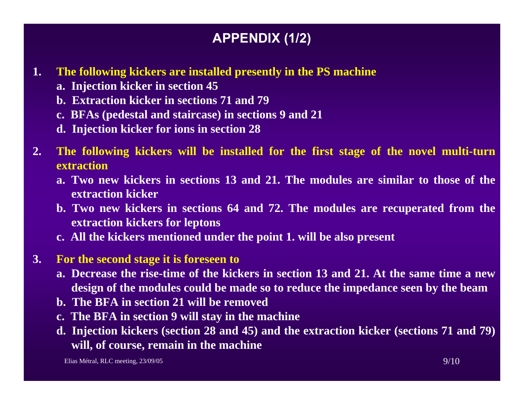# **APPENDIX (1/2)**

- **1. The following kickers are installed presently in the PS machine**
	- **a. Injection kicker in section 45**
	- **b. Extraction kicker in sections 71 and 79**
	- **c. BFAs (pedestal and staircase) in sections 9 and 21**
	- **d. Injection kicker for ions in section 28**
- **2. The following kickers will be installed for the first stage of the novel multi-turn extraction**
	- **a. Two new kickers in sections 13 and 21. The modules are similar to those of the extraction kicker**
	- **b. Two new kickers in sections 64 and 72. The modules are recuperated from the extraction kickers for leptons**
	- **c. All the kickers mentioned under the point 1. will be also present**

#### **3.For the second stage it is foreseen to**

- **a. Decrease the rise-time of the kickers in section 13 and 21. At the same time a newdesign of the modules could be made so to reduce the impedance seen by the beam**
- **b. The BFA in section 21 will be removed**
- **c. The BFA in section 9 will stay in the machine**
- **d. Injection kickers (section 28 and 45) and the extraction kicker (sections 71 and 79) will, of course, remain in the machine**